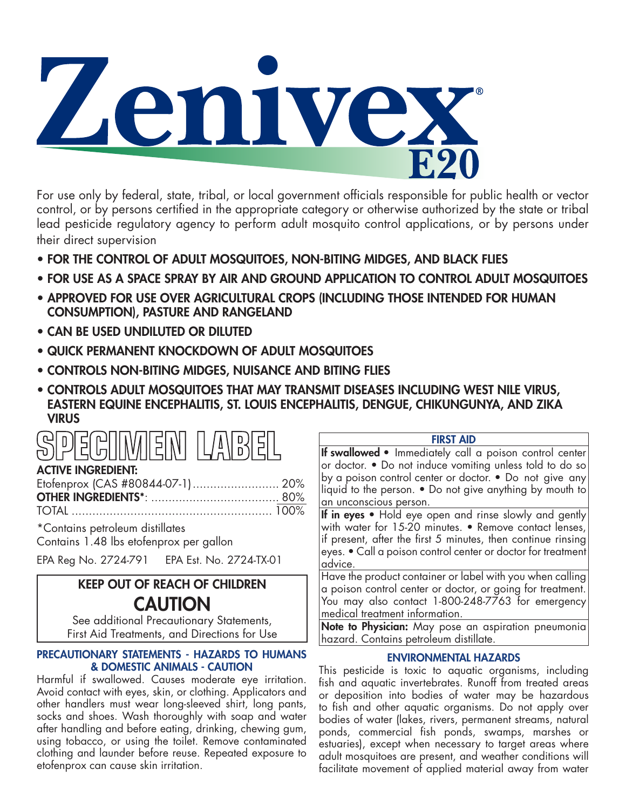

For use only by federal, state, tribal, or local government officials responsible for public health or vector control, or by persons certified in the appropriate category or otherwise authorized by the state or tribal lead pesticide regulatory agency to perform adult mosquito control applications, or by persons under their direct supervision

- FOR THE CONTROL OF ADULT MOSQUITOES, NON-BITING MIDGES, AND BLACK FLIES
- FOR USE AS A SPACE SPRAY BY AIR AND GROUND APPLICATION TO CONTROL ADULT MOSQUITOES
- APPROVED FOR USE OVER AGRICULTURAL CROPS (INCLUDING THOSE INTENDED FOR HUMAN CONSUMPTION), PASTURE AND RANGELAND
- CAN BE USED UNDILUTED OR DILUTED
- QUICK PERMANENT KNOCKDOWN OF ADULT MOSQUITOES
- CONTROLS NON-BITING MIDGES, NUISANCE AND BITING FLIES
- CONTROLS ADULT MOSQUITOES THAT MAY TRANSMIT DISEASES INCLUDING WEST NILE VIRUS, EASTERN EQUINE ENCEPHALITIS, ST. LOUIS ENCEPHALITIS, DENGUE, CHIKUNGUNYA, AND ZIKA **VIRUS**

| <b>SPECIMEN LABE</b> |  |
|----------------------|--|
|----------------------|--|

# ACTIVE INGREDIENT:

\*Contains petroleum distillates Contains 1.48 lbs etofenprox per gallon

EPA Reg No. 2724-791 EPA Est. No. 2724-TX-01

# KEEP OUT OF REACH OF CHILDREN **CAUTION**

See additional Precautionary Statements, First Aid Treatments, and Directions for Use

## PRECAUTIONARY STATEMENTS - HAZARDS TO HUMANS & DOMESTIC ANIMALS - CAUTION

Harmful if swallowed. Causes moderate eye irritation. Avoid contact with eyes, skin, or clothing. Applicators and other handlers must wear long-sleeved shirt, long pants, socks and shoes. Wash thoroughly with soap and water after handling and before eating, drinking, chewing gum, using tobacco, or using the toilet. Remove contaminated clothing and launder before reuse. Repeated exposure to etofenprox can cause skin irritation.

## FIRST AID

If swallowed • Immediately call a poison control center or doctor. • Do not induce vomiting unless told to do so by a poison control center or doctor. • Do not give any liquid to the person. • Do not give anything by mouth to an unconscious person.

If in eyes • Hold eye open and rinse slowly and gently with water for 15-20 minutes. • Remove contact lenses, if present, after the first 5 minutes, then continue rinsing eyes. • Call a poison control center or doctor for treatment advice.

Have the product container or label with you when calling a poison control center or doctor, or going for treatment. You may also contact 1-800-248-7763 for emergency medical treatment information.

Note to Physician: May pose an aspiration pneumonia hazard. Contains petroleum distillate.

# ENVIRONMENTAL HAZARDS

This pesticide is toxic to aquatic organisms, including fish and aquatic invertebrates. Runoff from treated areas or deposition into bodies of water may be hazardous to fish and other aquatic organisms. Do not apply over bodies of water (lakes, rivers, permanent streams, natural ponds, commercial fish ponds, swamps, marshes or estuaries), except when necessary to target areas where adult mosquitoes are present, and weather conditions will facilitate movement of applied material away from water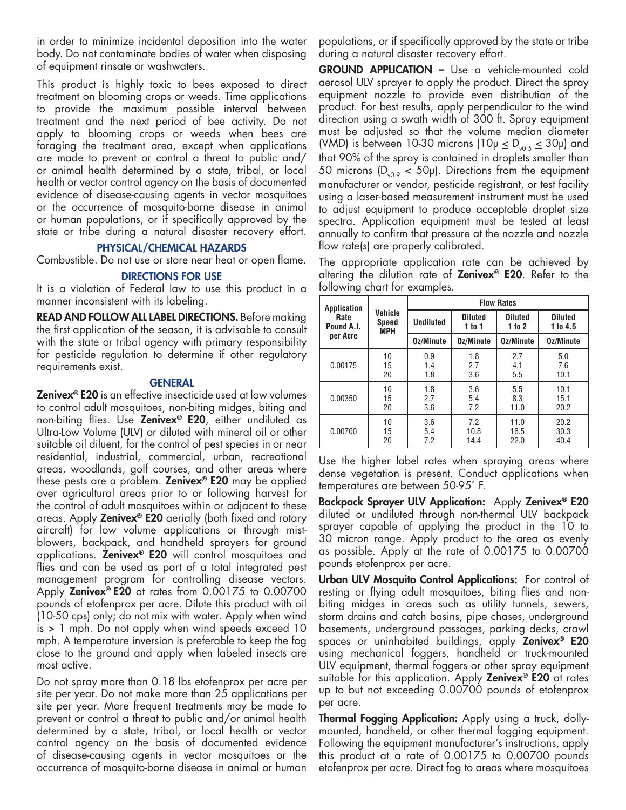in order to minimize incidental deposition into the water body. Do not contaminate bodies of water when disposing of equipment rinsate or washwaters.

This product is highly toxic to bees exposed to direct treatment on blooming crops or weeds. Time applications to provide the maximum possible interval between treatment and the next period of bee activity. Do not apply to blooming crops or weeds when bees are foraging the treatment area, except when applications are made to prevent or control a threat to public and/ or animal health determined by a state, tribal, or local health or vector control agency on the basis of documented evidence of disease-causing agents in vector mosquitoes or the occurrence of mosquito-borne disease in animal or human populations, or if specifically approved by the state or tribe during a natural disaster recovery effort.

### PHYSICAL/CHEMICAL HAZARDS

Combustible. Do not use or store near heat or open flame.

#### DIRECTIONS FOR USE

It is a violation of Federal law to use this product in a manner inconsistent with its labeling.

READ AND FOLLOW ALL LABEL DIRECTIONS. Before making the first application of the season, it is advisable to consult with the state or tribal agency with primary responsibility for pesticide regulation to determine if other regulatory requirements exist.

#### **GENERAL**

**Zenivex<sup>®</sup> E20** is an effective insecticide used at low volumes to control adult mosquitoes, non-biting midges, biting and non-biting flies. Use Zenivex<sup>®</sup> E20, either undiluted as Ultra-Low Volume (ULV) or diluted with mineral oil or other suitable oil diluent, for the control of pest species in or near residential, industrial, commercial, urban, recreational areas, woodlands, golf courses, and other areas where these pests are a problem. **Zenivex<sup>®</sup> E20** may be applied over agricultural areas prior to or following harvest for the control of adult mosquitoes within or adjacent to these areas. Apply **Zenivex<sup>®</sup> E20** aerially (both fixed and rotary aircraft) for low volume applications or through mistblowers, backpack, and handheld sprayers for ground applications. Zenivex<sup>®</sup> E20 will control mosquitoes and flies and can be used as part of a total integrated pest management program for controlling disease vectors. Apply **Zenivex<sup>®</sup> E20** at rates from 0.00175 to 0.00700 pounds of etofenprox per acre. Dilute this product with oil (10-50 cps) only; do not mix with water. Apply when wind is  $\geq 1$  mph. Do not apply when wind speeds exceed 10 mph. A temperature inversion is preferable to keep the fog close to the ground and apply when labeled insects are most active.

Do not spray more than 0.18 lbs etofenprox per acre per site per year. Do not make more than 25 applications per site per year. More frequent treatments may be made to prevent or control a threat to public and/or animal health determined by a state, tribal, or local health or vector control agency on the basis of documented evidence of disease-causing agents in vector mosquitoes or the occurrence of mosquito-borne disease in animal or human

populations, or if specifically approved by the state or tribe during a natural disaster recovery effort.

GROUND APPLICATION – Use a vehicle-mounted cold aerosol ULV sprayer to apply the product. Direct the spray equipment nozzle to provide even distribution of the product. For best results, apply perpendicular to the wind direction using a swath width of 300 ft. Spray equipment must be adjusted so that the volume median diameter (VMD) is between 10-30 microns (10 $\mu \leq D_{\nu,0.5} \leq 30 \mu$ ) and that 90% of the spray is contained in droplets smaller than 50 microns  $(D_{\nu0.9} < 50 \mu)$ . Directions from the equipment manufacturer or vendor, pesticide registrant, or test facility using a laser-based measurement instrument must be used to adjust equipment to produce acceptable droplet size spectra. Application equipment must be tested at least annually to confirm that pressure at the nozzle and nozzle flow rate(s) are properly calibrated.

The appropriate application rate can be achieved by altering the dilution rate of **Zenivex<sup>®</sup> E20**. Refer to the following chart for examples.

| Application                    | Vehicle<br><b>Speed</b><br><b>MPH</b> | <b>Flow Rates</b> |                          |                          |                            |
|--------------------------------|---------------------------------------|-------------------|--------------------------|--------------------------|----------------------------|
| Rate<br>Pound A.I.<br>per Acre |                                       | <b>Undiluted</b>  | <b>Diluted</b><br>1 to 1 | <b>Diluted</b><br>1 to 2 | <b>Diluted</b><br>1 to 4.5 |
|                                |                                       | Oz/Minute         | Oz/Minute                | Oz/Minute                | Oz/Minute                  |
| 0.00175                        | 10                                    | 0.9               | 1.8                      | 2.7                      | 5.0                        |
|                                | 15                                    | 1.4               | 2.7                      | 4.1                      | 7.6                        |
|                                | 20                                    | 1.8               | 3.6                      | 5.5                      | 10.1                       |
| 0.00350                        | 10                                    | 1.8               | 3.6                      | 5.5                      | 10.1                       |
|                                | 15                                    | 2.7               | 5.4                      | 8.3                      | 15.1                       |
|                                | 20                                    | 3.6               | 7.2                      | 11.0                     | 20.2                       |
| 0.00700                        | 10                                    | 3.6               | 7.2                      | 11.0                     | 20.2                       |
|                                | 15                                    | 5.4               | 10.8                     | 16.5                     | 30.3                       |
|                                | 20                                    | 7.2               | 14.4                     | 22.0                     | 40.4                       |

Use the higher label rates when spraying areas where dense vegetation is present. Conduct applications when temperatures are between 50-95˚ F.

Backpack Sprayer ULV Application: Apply Zenivex<sup>®</sup> E20 diluted or undiluted through non-thermal ULV backpack sprayer capable of applying the product in the 10 to 30 micron range. Apply product to the area as evenly as possible. Apply at the rate of 0.00175 to 0.00700 pounds etofenprox per acre.

Urban ULV Mosquito Control Applications: For control of resting or flying adult mosquitoes, biting flies and nonbiting midges in areas such as utility tunnels, sewers, storm drains and catch basins, pipe chases, underground basements, underground passages, parking decks, crawl spaces or uninhabited buildings, apply Zenivex® E20 using mechanical foggers, handheld or truck-mounted ULV equipment, thermal foggers or other spray equipment suitable for this application. Apply **Zenivex<sup>®</sup> E20** at rates up to but not exceeding 0.00700 pounds of etofenprox per acre.

Thermal Fogging Application: Apply using a truck, dollymounted, handheld, or other thermal fogging equipment. Following the equipment manufacturer's instructions, apply this product at a rate of 0.00175 to 0.00700 pounds etofenprox per acre. Direct fog to areas where mosquitoes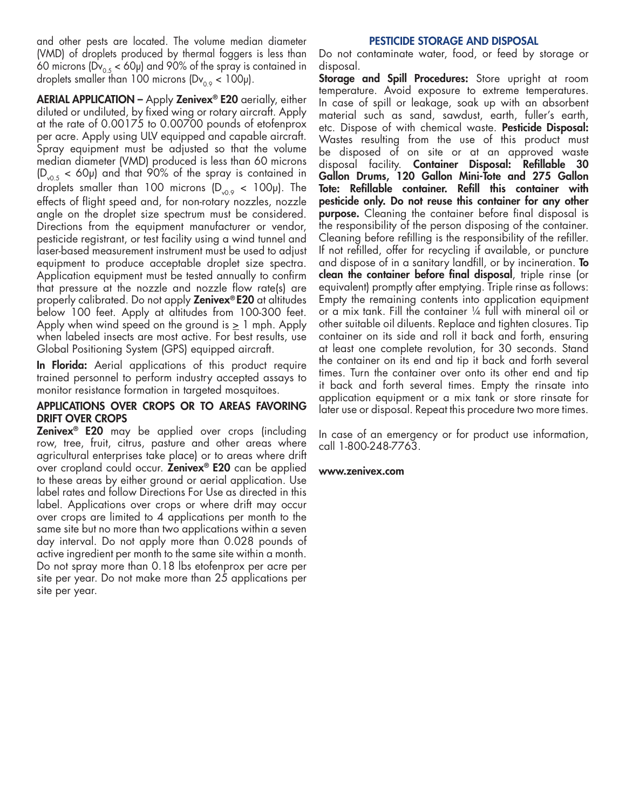and other pests are located. The volume median diameter (VMD) of droplets produced by thermal foggers is less than 60 microns (Dv<sub>0.5</sub> < 60µ) and 90% of the spray is contained in droplets smaller than 100 microns  $(Dv_{0.9} < 100 \mu)$ .

AERIAL APPLICATION - Apply Zenivex® E20 aerially, either diluted or undiluted, by fixed wing or rotary aircraft. Apply at the rate of 0.00175 to 0.00700 pounds of etofenprox per acre. Apply using ULV equipped and capable aircraft. Spray equipment must be adjusted so that the volume median diameter (VMD) produced is less than 60 microns  $(D_{0.5} < 60 \mu)$  and that 90% of the spray is contained in droplets smaller than 100 microns  $(D_{y0.9} < 100 \mu)$ . The effects of flight speed and, for non-rotary nozzles, nozzle angle on the droplet size spectrum must be considered. Directions from the equipment manufacturer or vendor, pesticide registrant, or test facility using a wind tunnel and laser-based measurement instrument must be used to adjust equipment to produce acceptable droplet size spectra. Application equipment must be tested annually to confirm that pressure at the nozzle and nozzle flow rate(s) are properly calibrated. Do not apply **Zenivex®E20** at altitudes below 100 feet. Apply at altitudes from 100-300 feet. Apply when wind speed on the ground is  $\geq 1$  mph. Apply when labeled insects are most active. For best results, use Global Positioning System (GPS) equipped aircraft.

In Florida: Aerial applications of this product require trained personnel to perform industry accepted assays to monitor resistance formation in targeted mosquitoes.

### APPLICATIONS OVER CROPS OR TO AREAS FAVORING DRIFT OVER CROPS

**Zenivex<sup>®</sup> E20** may be applied over crops (including row, tree, fruit, citrus, pasture and other areas where agricultural enterprises take place) or to areas where drift over cropland could occur. Zenivex® E20 can be applied to these areas by either ground or aerial application. Use label rates and follow Directions For Use as directed in this label. Applications over crops or where drift may occur over crops are limited to 4 applications per month to the same site but no more than two applications within a seven day interval. Do not apply more than 0.028 pounds of active ingredient per month to the same site within a month. Do not spray more than 0.18 lbs etofenprox per acre per site per year. Do not make more than 25 applications per site per year.

#### PESTICIDE STORAGE AND DISPOSAL

Do not contaminate water, food, or feed by storage or disposal.

Storage and Spill Procedures: Store upright at room temperature. Avoid exposure to extreme temperatures. In case of spill or leakage, soak up with an absorbent material such as sand, sawdust, earth, fuller's earth, etc. Dispose of with chemical waste. Pesticide Disposal: Wastes resulting from the use of this product must be disposed of on site or at an approved waste disposal facility. Container Disposal: Refillable 30 Gallon Drums, 120 Gallon Mini-Tote and 275 Gallon Tote: Refillable container. Refill this container with pesticide only. Do not reuse this container for any other **purpose.** Cleaning the container before final disposal is the responsibility of the person disposing of the container. Cleaning before refilling is the responsibility of the refiller. If not refilled, offer for recycling if available, or puncture and dispose of in a sanitary landfill, or by incineration. **To** clean the container before final disposal, triple rinse (or equivalent) promptly after emptying. Triple rinse as follows: Empty the remaining contents into application equipment or a mix tank. Fill the container ¼ full with mineral oil or other suitable oil diluents. Replace and tighten closures. Tip container on its side and roll it back and forth, ensuring at least one complete revolution, for 30 seconds. Stand the container on its end and tip it back and forth several times. Turn the container over onto its other end and tip it back and forth several times. Empty the rinsate into application equipment or a mix tank or store rinsate for later use or disposal. Repeat this procedure two more times.

In case of an emergency or for product use information, call 1-800-248-7763.

#### www.zenivex.com